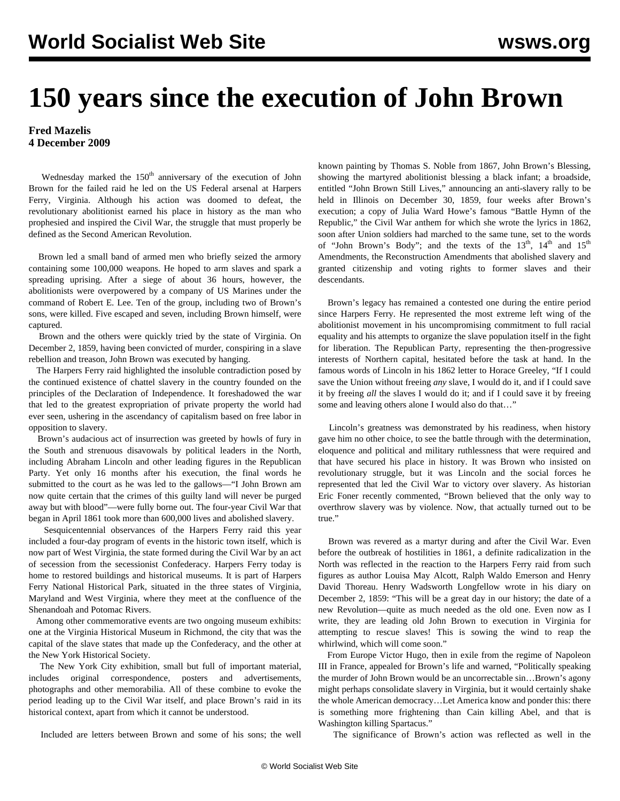## **150 years since the execution of John Brown**

## **Fred Mazelis 4 December 2009**

Wednesday marked the 150<sup>th</sup> anniversary of the execution of John Brown for the failed raid he led on the US Federal arsenal at Harpers Ferry, Virginia. Although his action was doomed to defeat, the revolutionary abolitionist earned his place in history as the man who prophesied and inspired the Civil War, the struggle that must properly be defined as the Second American Revolution.

 Brown led a small band of armed men who briefly seized the armory containing some 100,000 weapons. He hoped to arm slaves and spark a spreading uprising. After a siege of about 36 hours, however, the abolitionists were overpowered by a company of US Marines under the command of Robert E. Lee. Ten of the group, including two of Brown's sons, were killed. Five escaped and seven, including Brown himself, were captured.

 Brown and the others were quickly tried by the state of Virginia. On December 2, 1859, having been convicted of murder, conspiring in a slave rebellion and treason, John Brown was executed by hanging.

 The Harpers Ferry raid highlighted the insoluble contradiction posed by the continued existence of chattel slavery in the country founded on the principles of the Declaration of Independence. It foreshadowed the war that led to the greatest expropriation of private property the world had ever seen, ushering in the ascendancy of capitalism based on free labor in opposition to slavery.

 Brown's audacious act of insurrection was greeted by howls of fury in the South and strenuous disavowals by political leaders in the North, including Abraham Lincoln and other leading figures in the Republican Party. Yet only 16 months after his execution, the final words he submitted to the court as he was led to the gallows—"I John Brown am now quite certain that the crimes of this guilty land will never be purged away but with blood"—were fully borne out. The four-year Civil War that began in April 1861 took more than 600,000 lives and abolished slavery.

 Sesquicentennial observances of the Harpers Ferry raid this year included a four-day program of events in the historic town itself, which is now part of West Virginia, the state formed during the Civil War by an act of secession from the secessionist Confederacy. Harpers Ferry today is home to restored buildings and historical museums. It is part of Harpers Ferry National Historical Park, situated in the three states of Virginia, Maryland and West Virginia, where they meet at the confluence of the Shenandoah and Potomac Rivers.

 Among other commemorative events are two ongoing museum exhibits: one at the Virginia Historical Museum in Richmond, the city that was the capital of the slave states that made up the Confederacy, and the other at the New York Historical Society.

 The New York City exhibition, small but full of important material, includes original correspondence, posters and advertisements, photographs and other memorabilia. All of these combine to evoke the period leading up to the Civil War itself, and place Brown's raid in its historical context, apart from which it cannot be understood.

Included are letters between Brown and some of his sons; the well

known painting by Thomas S. Noble from 1867, John Brown's Blessing, showing the martyred abolitionist blessing a black infant; a broadside, entitled "John Brown Still Lives," announcing an anti-slavery rally to be held in Illinois on December 30, 1859, four weeks after Brown's execution; a copy of Julia Ward Howe's famous "Battle Hymn of the Republic," the Civil War anthem for which she wrote the lyrics in 1862, soon after Union soldiers had marched to the same tune, set to the words of "John Brown's Body"; and the texts of the 13<sup>th</sup>, 14<sup>th</sup> and 15<sup>th</sup> Amendments, the Reconstruction Amendments that abolished slavery and granted citizenship and voting rights to former slaves and their descendants.

 Brown's legacy has remained a contested one during the entire period since Harpers Ferry. He represented the most extreme left wing of the abolitionist movement in his uncompromising commitment to full racial equality and his attempts to organize the slave population itself in the fight for liberation. The Republican Party, representing the then-progressive interests of Northern capital, hesitated before the task at hand. In the famous words of Lincoln in his 1862 letter to Horace Greeley, "If I could save the Union without freeing *any* slave, I would do it, and if I could save it by freeing *all* the slaves I would do it; and if I could save it by freeing some and leaving others alone I would also do that…"

 Lincoln's greatness was demonstrated by his readiness, when history gave him no other choice, to see the battle through with the determination, eloquence and political and military ruthlessness that were required and that have secured his place in history. It was Brown who insisted on revolutionary struggle, but it was Lincoln and the social forces he represented that led the Civil War to victory over slavery. As historian Eric Foner recently commented, "Brown believed that the only way to overthrow slavery was by violence. Now, that actually turned out to be true."

 Brown was revered as a martyr during and after the Civil War. Even before the outbreak of hostilities in 1861, a definite radicalization in the North was reflected in the reaction to the Harpers Ferry raid from such figures as author Louisa May Alcott, Ralph Waldo Emerson and Henry David Thoreau. Henry Wadsworth Longfellow wrote in his diary on December 2, 1859: "This will be a great day in our history; the date of a new Revolution—quite as much needed as the old one. Even now as I write, they are leading old John Brown to execution in Virginia for attempting to rescue slaves! This is sowing the wind to reap the whirlwind, which will come soon."

 From Europe Victor Hugo, then in exile from the regime of Napoleon III in France, appealed for Brown's life and warned, "Politically speaking the murder of John Brown would be an uncorrectable sin…Brown's agony might perhaps consolidate slavery in Virginia, but it would certainly shake the whole American democracy…Let America know and ponder this: there is something more frightening than Cain killing Abel, and that is Washington killing Spartacus."

The significance of Brown's action was reflected as well in the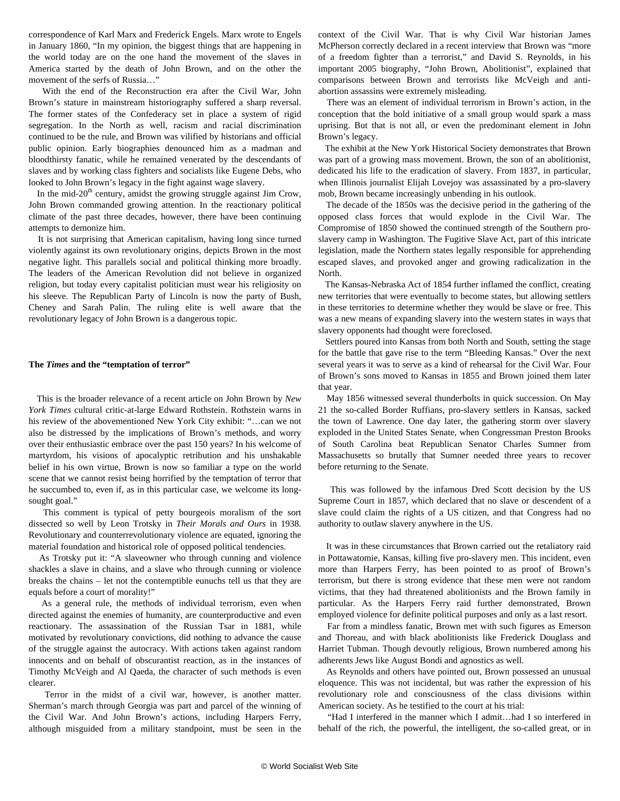correspondence of Karl Marx and Frederick Engels. Marx wrote to Engels in January 1860, "In my opinion, the biggest things that are happening in the world today are on the one hand the movement of the slaves in America started by the death of John Brown, and on the other the movement of the serfs of Russia…"

 With the end of the Reconstruction era after the Civil War, John Brown's stature in mainstream historiography suffered a sharp reversal. The former states of the Confederacy set in place a system of rigid segregation. In the North as well, racism and racial discrimination continued to be the rule, and Brown was vilified by historians and official public opinion. Early biographies denounced him as a madman and bloodthirsty fanatic, while he remained venerated by the descendants of slaves and by working class fighters and socialists like Eugene Debs, who looked to John Brown's legacy in the fight against wage slavery.

In the mid-20<sup>th</sup> century, amidst the growing struggle against Jim Crow, John Brown commanded growing attention. In the reactionary political climate of the past three decades, however, there have been continuing attempts to demonize him.

 It is not surprising that American capitalism, having long since turned violently against its own revolutionary origins, depicts Brown in the most negative light. This parallels social and political thinking more broadly. The leaders of the American Revolution did not believe in organized religion, but today every capitalist politician must wear his religiosity on his sleeve. The Republican Party of Lincoln is now the party of Bush, Cheney and Sarah Palin. The ruling elite is well aware that the revolutionary legacy of John Brown is a dangerous topic.

## **The** *Times* **and the "temptation of terror"**

 This is the broader relevance of a recent article on John Brown by *New York Times* cultural critic-at-large Edward Rothstein. Rothstein warns in his review of the abovementioned New York City exhibit: "…can we not also be distressed by the implications of Brown's methods, and worry over their enthusiastic embrace over the past 150 years? In his welcome of martyrdom, his visions of apocalyptic retribution and his unshakable belief in his own virtue, Brown is now so familiar a type on the world scene that we cannot resist being horrified by the temptation of terror that he succumbed to, even if, as in this particular case, we welcome its longsought goal."

 This comment is typical of petty bourgeois moralism of the sort dissected so well by Leon Trotsky in *Their Morals and Ours* in 1938. Revolutionary and counterrevolutionary violence are equated, ignoring the material foundation and historical role of opposed political tendencies.

 As Trotsky put it: "A slaveowner who through cunning and violence shackles a slave in chains, and a slave who through cunning or violence breaks the chains – let not the contemptible eunuchs tell us that they are equals before a court of morality!"

 As a general rule, the methods of individual terrorism, even when directed against the enemies of humanity, are counterproductive and even reactionary. The assassination of the Russian Tsar in 1881, while motivated by revolutionary convictions, did nothing to advance the cause of the struggle against the autocracy. With actions taken against random innocents and on behalf of obscurantist reaction, as in the instances of Timothy McVeigh and Al Qaeda, the character of such methods is even clearer.

 Terror in the midst of a civil war, however, is another matter. Sherman's march through Georgia was part and parcel of the winning of the Civil War. And John Brown's actions, including Harpers Ferry, although misguided from a military standpoint, must be seen in the context of the Civil War. That is why Civil War historian James McPherson correctly declared in a recent interview that Brown was "more of a freedom fighter than a terrorist," and David S. Reynolds, in his important 2005 biography, "John Brown, Abolitionist", explained that comparisons between Brown and terrorists like McVeigh and antiabortion assassins were extremely misleading.

 There was an element of individual terrorism in Brown's action, in the conception that the bold initiative of a small group would spark a mass uprising. But that is not all, or even the predominant element in John Brown's legacy.

 The exhibit at the New York Historical Society demonstrates that Brown was part of a growing mass movement. Brown, the son of an abolitionist, dedicated his life to the eradication of slavery. From 1837, in particular, when Illinois journalist Elijah Lovejoy was assassinated by a pro-slavery mob, Brown became increasingly unbending in his outlook.

 The decade of the 1850s was the decisive period in the gathering of the opposed class forces that would explode in the Civil War. The Compromise of 1850 showed the continued strength of the Southern proslavery camp in Washington. The Fugitive Slave Act, part of this intricate legislation, made the Northern states legally responsible for apprehending escaped slaves, and provoked anger and growing radicalization in the North.

 The Kansas-Nebraska Act of 1854 further inflamed the conflict, creating new territories that were eventually to become states, but allowing settlers in these territories to determine whether they would be slave or free. This was a new means of expanding slavery into the western states in ways that slavery opponents had thought were foreclosed.

 Settlers poured into Kansas from both North and South, setting the stage for the battle that gave rise to the term "Bleeding Kansas." Over the next several years it was to serve as a kind of rehearsal for the Civil War. Four of Brown's sons moved to Kansas in 1855 and Brown joined them later that year.

 May 1856 witnessed several thunderbolts in quick succession. On May 21 the so-called Border Ruffians, pro-slavery settlers in Kansas, sacked the town of Lawrence. One day later, the gathering storm over slavery exploded in the United States Senate, when Congressman Preston Brooks of South Carolina beat Republican Senator Charles Sumner from Massachusetts so brutally that Sumner needed three years to recover before returning to the Senate.

 This was followed by the infamous Dred Scott decision by the US Supreme Court in 1857, which declared that no slave or descendent of a slave could claim the rights of a US citizen, and that Congress had no authority to outlaw slavery anywhere in the US.

 It was in these circumstances that Brown carried out the retaliatory raid in Pottawatomie, Kansas, killing five pro-slavery men. This incident, even more than Harpers Ferry, has been pointed to as proof of Brown's terrorism, but there is strong evidence that these men were not random victims, that they had threatened abolitionists and the Brown family in particular. As the Harpers Ferry raid further demonstrated, Brown employed violence for definite political purposes and only as a last resort.

 Far from a mindless fanatic, Brown met with such figures as Emerson and Thoreau, and with black abolitionists like Frederick Douglass and Harriet Tubman. Though devoutly religious, Brown numbered among his adherents Jews like August Bondi and agnostics as well.

 As Reynolds and others have pointed out, Brown possessed an unusual eloquence. This was not incidental, but was rather the expression of his revolutionary role and consciousness of the class divisions within American society. As he testified to the court at his trial:

 "Had I interfered in the manner which I admit…had I so interfered in behalf of the rich, the powerful, the intelligent, the so-called great, or in